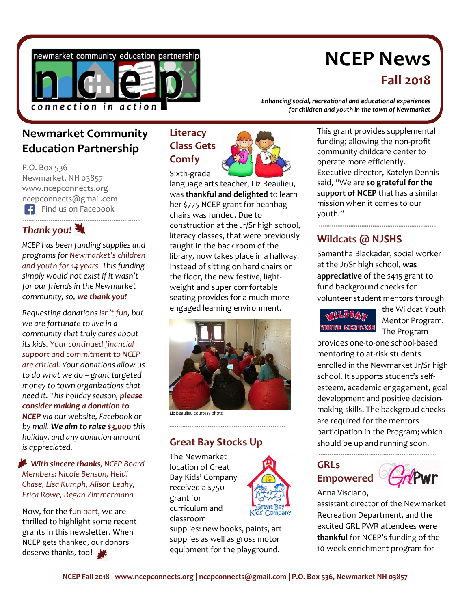

# **NCEP News Fall 2018**

# **Newmarket Community Education Partnership**

P.O. Box 536 Newmarket, NH 03857 www.ncepconnects.org ncepconnects@gmail.com Find us on Facebook 

### *Thank you!*

*NCEP has been funding supplies and programs for Newmarket's children and youth for 14 years. This funding simply would not exist if it wasn't for our friends in the Newmarket community, so, we thank you!*

*Requesting donations isn't fun, but we are fortunate to live in a community that truly cares about its kids. Your continued financial support and commitment to NCEP are critical. Your donations allow us to do what we do – grant targeted money to town organizations that need it. This holiday season, please consider making a donation to NCEP via our website, Facebook or by mail. We aim to raise \$3,000 this holiday, and any donation amount is appreciated.*

 *With sincere thanks, NCEP Board Members: Nicole Benson, Heidi Chase, Lisa Kumph, Alison Leahy, Erica Rowe, Regan Zimmermann*

Now, for the fun part, we are thrilled to highlight some recent grants in this newsletter. When NCEP gets thanked, our donors deserve thanks, too!

## **Literacy Class Gets Comfy**



Sixth-grade language arts teacher, Liz Beaulieu, was **thankful and delighted** to learn her \$775 NCEP grant for beanbag chairs was funded. Due to construction at the Jr/Sr high school, literacy classes, that were previously taught in the back room of the library, now takes place in a hallway. Instead of sitting on hard chairs or the floor, the new festive, lightweight and super comfortable seating provides for a much more engaged learning environment.



Liz Beaulieu courtesy photo

### **Great Bay Stocks Up**

The Newmarket location of Great Bay Kids' Company received a \$750 grant for curriculum and classroom



supplies: new books, paints, art supplies as well as gross motor equipment for the playground.

*Enhancing social, recreational and educational experiences for children and youth in the town of Newmarket*

> This grant provides supplemental funding; allowing the non-profit community childcare center to operate more efficiently. Executive director, Katelyn Dennis said, "We are **so grateful for the support of NCEP** that has a similar mission when it comes to our youth."

### **Wildcats @ NJSHS**

Samantha Blackadar, social worker at the Jr/Sr high school, **was appreciative** of the \$415 grant to fund background checks for volunteer student mentors through

**MILLDOAS MENTORS**  the Wildcat Youth Mentor Program. The Program

provides one-to-one school-based mentoring to at-risk students enrolled in the Newmarket Jr/Sr high school. It supports student's selfesteem, academic engagement, goal development and positive decisionmaking skills. The backgroud checks are required for the mentors participation in the Program; which should be up and running soon.

### **GRLs Empowered**



Anna Visciano,

assistant director of the Newmarket Recreation Department, and the excited GRL PWR attendees **were thankful** for NCEP's funding of the 10-week enrichment program for